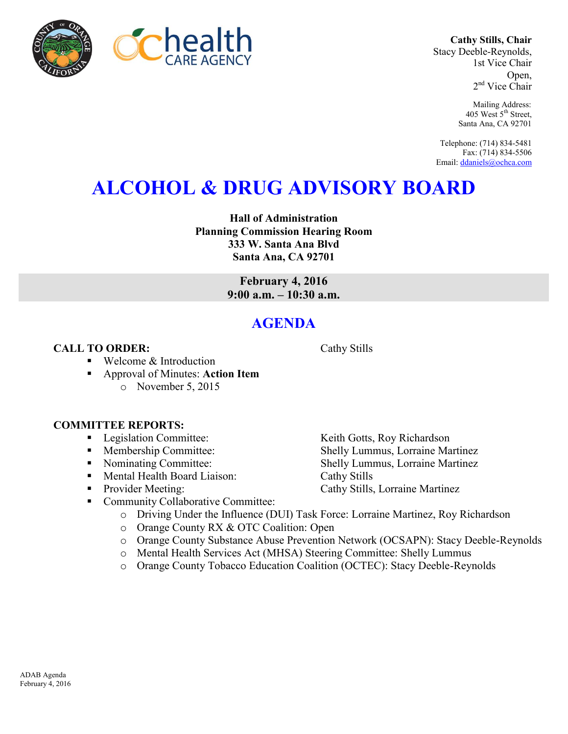

**Cathy Stills, Chair** Stacy Deeble-Reynolds, 1st Vice Chair Open, 2<sup>nd</sup> Vice Chair

> Mailing Address: 405 West 5<sup>th</sup> Street, Santa Ana, CA 92701

Telephone: (714) 834-5481 Fax: (714) 834-5506 Email[: ddaniels@ochca.com](mailto:ddaniels@ochca.com)

## **ALCOHOL & DRUG ADVISORY BOARD**

**Hall of Administration Planning Commission Hearing Room 333 W. Santa Ana Blvd Santa Ana, CA 92701** 

> **February 4, 2016 9:00 a.m. – 10:30 a.m.**

## **AGENDA**

## **CALL TO ORDER:** Cathy Stills

- Welcome & Introduction
- Approval of Minutes: **Action Item** o November 5, 2015

## **COMMITTEE REPORTS:**

- Legislation Committee: Keith Gotts, Roy Richardson
- Membership Committee: Shelly Lummus, Lorraine Martinez
- Nominating Committee: Shelly Lummus, Lorraine Martinez
- Mental Health Board Liaison: Cathy Stills
- Provider Meeting: Cathy Stills, Lorraine Martinez
- Community Collaborative Committee:
	- o Driving Under the Influence (DUI) Task Force: Lorraine Martinez, Roy Richardson
	- o Orange County RX & OTC Coalition: Open
	- o Orange County Substance Abuse Prevention Network (OCSAPN): Stacy Deeble-Reynolds
	- o Mental Health Services Act (MHSA) Steering Committee: Shelly Lummus
	- o Orange County Tobacco Education Coalition (OCTEC): Stacy Deeble-Reynolds